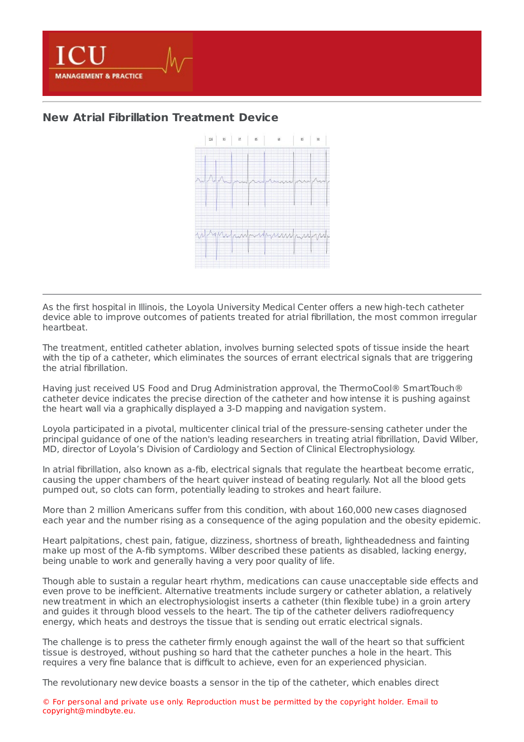

## **New Atrial Fibrillation [Treatment](https://healthmanagement.org/s/new-atrial-fibrillation-treatment-device) Device**



As the first hospital in Illinois, the Loyola University Medical Center offers a new high-tech catheter device able to improve outcomes of patients treated for atrial fibrillation, the most common irregular heartbeat.

The treatment, entitled catheter ablation, involves burning selected spots of tissue inside the heart with the tip of a catheter, which eliminates the sources of errant electrical signals that are triggering the atrial fibrillation.

Having just received US Food and Drug Administration approval, the ThermoCool® SmartTouch® catheter device indicates the precise direction of the catheter and how intense it is pushing against the heart wall via a graphically displayed a 3-D mapping and navigation system.

Loyola participated in a pivotal, multicenter clinical trial of the pressure-sensing catheter under the principal guidance of one of the nation's leading researchers in treating atrial fibrillation, David Wilber, MD, director of Loyola's Division of Cardiology and Section of Clinical Electrophysiology.

In atrial fibrillation, also known as a-fib, electrical signals that regulate the heartbeat become erratic, causing the upper chambers of the heart quiver instead of beating regularly. Not all the blood gets pumped out, so clots can form, potentially leading to strokes and heart failure.

More than 2 million Americans suffer from this condition, with about 160,000 new cases diagnosed each year and the number rising as a consequence of the aging population and the obesity epidemic.

Heart palpitations, chest pain, fatigue, dizziness, shortness of breath, lightheadedness and fainting make up most of the A-fib symptoms. Wilber described these patients as disabled, lacking energy, being unable to work and generally having a very poor quality of life.

Though able to sustain a regular heart rhythm, medications can cause unacceptable side effects and even prove to be inefficient. Alternative treatments include surgery or catheter ablation, a relatively new treatment in which an electrophysiologist inserts a catheter (thin flexible tube) in a groin artery and guides it through blood vessels to the heart. The tip of the catheter delivers radiofrequency energy, which heats and destroys the tissue that is sending out erratic electrical signals.

The challenge is to press the catheter firmly enough against the wall of the heart so that sufficient tissue is destroyed, without pushing so hard that the catheter punches a hole in the heart. This requires a very fine balance that is difficult to achieve, even for an experienced physician.

The revolutionary new device boasts a sensor in the tip of the catheter, which enables direct

© For personal and private use only. Reproduction must be permitted by the copyright holder. Email to copyright@mindbyte.eu.